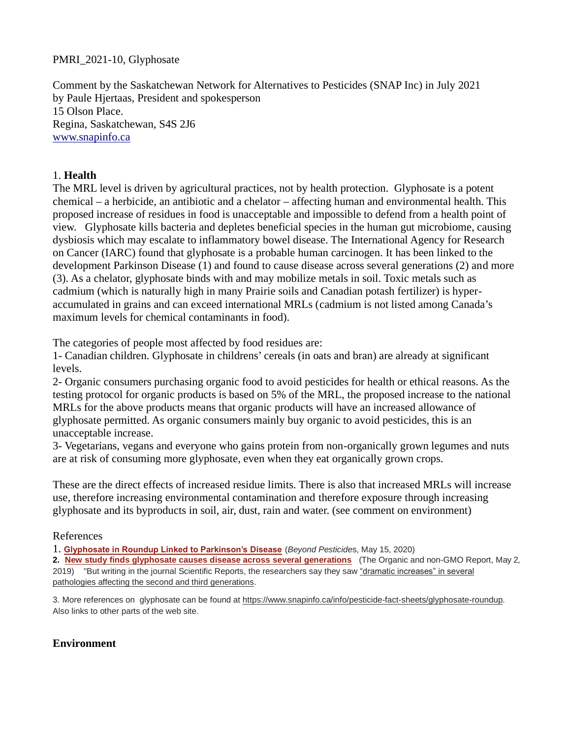### PMRI\_2021-10, Glyphosate

Comment by the Saskatchewan Network for Alternatives to Pesticides (SNAP Inc) in July 2021 by Paule Hjertaas, President and spokesperson 15 Olson Place. Regina, Saskatchewan, S4S 2J6 [www.snapinfo.ca](http://www.snapinfo.ca/)

### 1. **Health**

The MRL level is driven by agricultural practices, not by health protection. Glyphosate is a potent chemical – a herbicide, an antibiotic and a chelator – affecting human and environmental health. This proposed increase of residues in food is unacceptable and impossible to defend from a health point of view. Glyphosate kills bacteria and depletes beneficial species in the human gut microbiome, causing dysbiosis which may escalate to inflammatory bowel disease. The International Agency for Research on Cancer (IARC) found that glyphosate is a probable human carcinogen. It has been linked to the development Parkinson Disease (1) and found to cause disease across several generations (2) and more (3). As a chelator, glyphosate binds with and may mobilize metals in soil. Toxic metals such as cadmium (which is naturally high in many Prairie soils and Canadian potash fertilizer) is hyperaccumulated in grains and can exceed international MRLs (cadmium is not listed among Canada's maximum levels for chemical contaminants in food).

The categories of people most affected by food residues are:

1- Canadian children. Glyphosate in childrens' cereals (in oats and bran) are already at significant levels.

2- Organic consumers purchasing organic food to avoid pesticides for health or ethical reasons. As the testing protocol for organic products is based on 5% of the MRL, the proposed increase to the national MRLs for the above products means that organic products will have an increased allowance of glyphosate permitted. As organic consumers mainly buy organic to avoid pesticides, this is an unacceptable increase.

3- Vegetarians, vegans and everyone who gains protein from non-organically grown legumes and nuts are at risk of consuming more glyphosate, even when they eat organically grown crops.

These are the direct effects of increased residue limits. There is also that increased MRLs will increase use, therefore increasing environmental contamination and therefore exposure through increasing glyphosate and its byproducts in soil, air, dust, rain and water. (see comment on environment)

#### References

1. **[Glyphosate in Roundup Linked to Parkinson's Disease](https://beyondpesticides.org/dailynewsblog/2020/05/glyphosate-in-roundup-linked-to-parkinsons-disease/)** (*Beyond Pesticide*s, May 15, 2020)

**2. [New study finds glyphosate causes disease across several generations](https://non-gmoreport.com/articles/new-study-finds-glyphosate-causes-disease-across-several-generations/?fbclid=IwAR3oHrIO-9DK6NuACbm-GFa4Cz9MCKCRpFB3lteKLLyFgiaCTTQ43SPryLk)** (The Organic and non-GMO Report, May 2, 2019) "But writing in the journal Scientific Reports, the researchers say they saw "dramatic increases" in several pathologies affecting the second and third generations.

3. More references on glyphosate can be found at [https://www.snapinfo.ca/info/pesticide-fact-sheets/glyphosate-roundup.](https://www.snapinfo.ca/info/pesticide-fact-sheets/glyphosate-roundup) Also links to other parts of the web site.

# **Environment**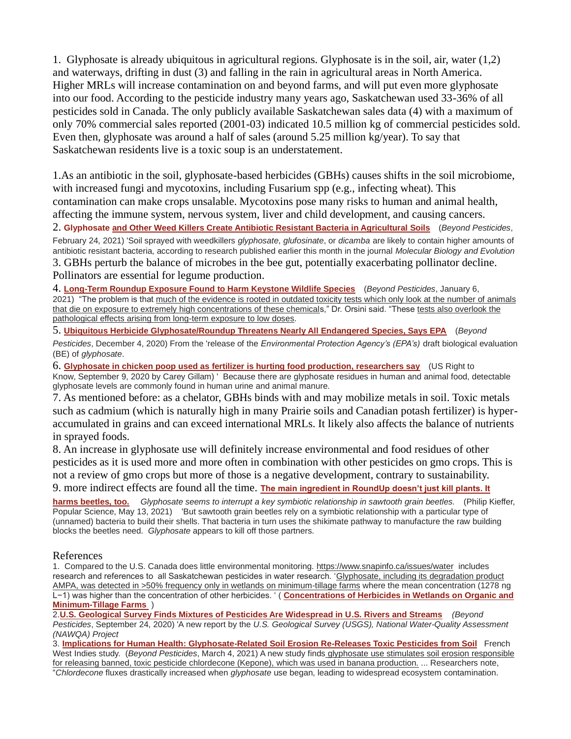1. Glyphosate is already ubiquitous in agricultural regions. Glyphosate is in the soil, air, water (1,2) and waterways, drifting in dust (3) and falling in the rain in agricultural areas in North America. Higher MRLs will increase contamination on and beyond farms, and will put even more glyphosate into our food. According to the pesticide industry many years ago, Saskatchewan used 33-36% of all pesticides sold in Canada. The only publicly available Saskatchewan sales data (4) with a maximum of only 70% commercial sales reported (2001-03) indicated 10.5 million kg of commercial pesticides sold. Even then, glyphosate was around a half of sales (around 5.25 million kg/year). To say that Saskatchewan residents live is a toxic soup is an understatement.

1.As an antibiotic in the soil, glyphosate-based herbicides (GBHs) causes shifts in the soil microbiome, with increased fungi and mycotoxins, including Fusarium spp (e.g., infecting wheat). This contamination can make crops unsalable. Mycotoxins pose many risks to human and animal health, affecting the immune system, nervous system, liver and child development, and causing cancers.

2. **Glyphosate [and Other Weed Killers Create Antibiotic Resistant Bacteria in Agricultural Soils](https://beyondpesticides.org/dailynewsblog/2021/02/glyphosate-and-other-weed-killers-create-antibiotic-resistant-bacteria-in-agricultural-soils/)** (*Beyond Pesticides*, February 24, 2021) 'Soil sprayed with weedkillers *glyphosate*, *glufosinate*, or *dicamba* are likely to contain higher amounts of antibiotic resistant bacteria, according to research published earlier this month in the journal *Molecular Biology and Evolution* 3. GBHs perturb the balance of microbes in the bee gut, potentially exacerbating pollinator decline. Pollinators are essential for legume production.

4. **[Long-Term Roundup Exposure Found to Harm Keystone Wildlife Species](https://beyondpesticides.org/dailynewsblog/2021/01/long-term-roundup-exposure-found-to-harm-keystone-wildlife-species/)** (*Beyond Pesticides*, January 6, 2021) "The problem is that much of the evidence is rooted in outdated toxicity tests which only look at the number of animals that die on exposure to extremely high concentrations of these chemicals," Dr. Orsini said. "These tests also overlook the pathological effects arising from long-term exposure to low doses.

5. **[Ubiquitous Herbicide Glyphosate/Roundup Threatens Nearly All Endangered Species, Says EPA](https://beyondpesticides.org/dailynewsblog/2020/12/ubiquitous-herbicide-glyphosate-roundup-threatens-nearly-all-endangered-species-says-epa/)** (*Beyond Pesticides*, December 4, 2020) From the 'release of the *Environmental Protection Agency's (EPA's)* draft biological evaluation (BE) of *glyphosate*.

6. **[Glyphosate in chicken poop used as fertilizer is hurting food production, researchers say](https://usrtk.org/pesticides/glyphosate-in-chicken-poop-used-as-fertilizer-is-hurting-food-production-researchers-say/)** (US Right to Know, September 9, 2020 by Carey Gillam) ' Because there are glyphosate residues in human and animal food, detectable glyphosate levels are commonly found in human urine and animal manure.

7. As mentioned before: as a chelator, GBHs binds with and may mobilize metals in soil. Toxic metals such as cadmium (which is naturally high in many Prairie soils and Canadian potash fertilizer) is hyperaccumulated in grains and can exceed international MRLs. It likely also affects the balance of nutrients in sprayed foods.

8. An increase in glyphosate use will definitely increase environmental and food residues of other pesticides as it is used more and more often in combination with other pesticides on gmo crops. This is not a review of gmo crops but more of those is a negative development, contrary to sustainability.

9. more indirect effects are found all the time. **[The main ingredient in RoundUp doesn't just kill plants. It](https://www.popsci.com/science/roundup-glyphosate-harms-beetles/?fbclid=IwAR3Z33Qc47d0__v4AEGCd-B8xgzNb-dnKJyQdPDN52SYE9ESSygxzO4PR0M)** 

**[harms beetles, too.](https://www.popsci.com/science/roundup-glyphosate-harms-beetles/?fbclid=IwAR3Z33Qc47d0__v4AEGCd-B8xgzNb-dnKJyQdPDN52SYE9ESSygxzO4PR0M)** *Glyphosate seems to interrupt a key symbiotic relationship in sawtooth grain beetles.* (Philip Kieffer, Popular Science, May 13, 2021) 'But sawtooth grain beetles rely on a symbiotic relationship with a particular type of (unnamed) bacteria to build their shells. That bacteria in turn uses the shikimate pathway to manufacture the raw building blocks the beetles need. *Glyphosate* appears to kill off those partners.

#### References

1. Compared to the U.S. Canada does little environmental monitoring.<https://www.snapinfo.ca/issues/water>includes research and references to all Saskatchewan pesticides in water research. 'Glyphosate, including its degradation product AMPA, was detected in >50% frequency only in wetlands on minimum-tillage farms where the mean concentration (1278 ng L−1) was higher than the concentration of other herbicides. ' ( **[Concentrations of Herbicides in Wetlands on Organic and](https://dl.sciencesocieties.org/publications/jeq/abstracts/0/0/jeq2018.03.0100)  [Minimum-Tillage Farms](https://dl.sciencesocieties.org/publications/jeq/abstracts/0/0/jeq2018.03.0100)** )

2.**[U.S. Geological Survey Finds Mixtures of Pesticides Are Widespread in U.S. Rivers and Streams](https://beyondpesticides.org/dailynewsblog/2020/09/u-s-geological-survey-finds-mixtures-of-pesticides-are-widespread-in-u-s-rivers-and-streams/)** *(Beyond Pesticides*, September 24, 2020) 'A new report by the *U.S. Geological Survey (USGS), National Water-Quality Assessment (NAWQA) Project* 

3. **[Implications for Human Health: Glyphosate-Related Soil Erosion Re-Releases Toxic Pesticides from Soil](https://beyondpesticides.org/dailynewsblog/2021/03/implications-for-human-health-glyphosate-related-soil-erosion-re-releases-toxic-pesticides-from-soil/)** French West Indies study. (*Beyond Pesticides*, March 4, 2021) A new study finds glyphosate use stimulates soil erosion responsible for releasing banned, toxic pesticide chlordecone (Kepone), which was used in banana production. ... Researchers note, "*Chlordecone* fluxes drastically increased when *glyphosate* use began, leading to widespread ecosystem contamination.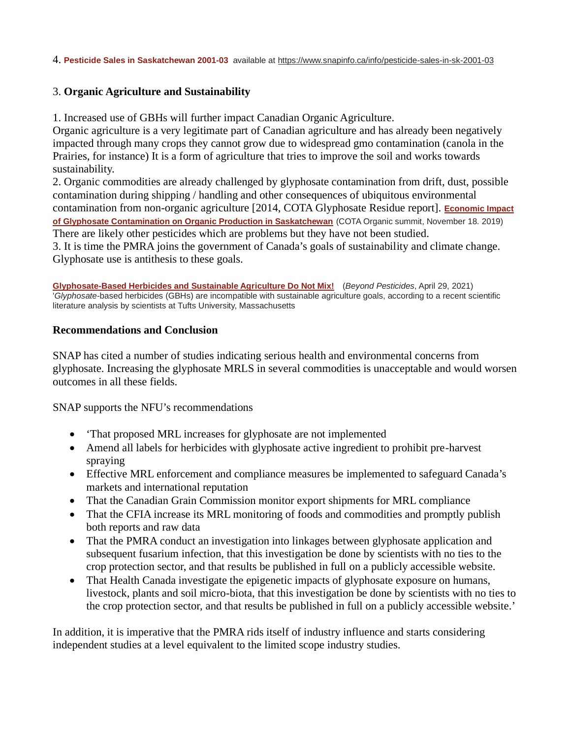4. **[Pesticide Sales in Saskatchewan 2001-03](https://www.snapinfo.ca/rsu_docs/pesticsales01-03-safdatawheeffects.xls)** available at<https://www.snapinfo.ca/info/pesticide-sales-in-sk-2001-03>

# 3. **Organic Agriculture and Sustainability**

1. Increased use of GBHs will further impact Canadian Organic Agriculture.

Organic agriculture is a very legitimate part of Canadian agriculture and has already been negatively impacted through many crops they cannot grow due to widespread gmo contamination (canola in the Prairies, for instance) It is a form of agriculture that tries to improve the soil and works towards sustainability.

2. Organic commodities are already challenged by glyphosate contamination from drift, dust, possible contamination during shipping / handling and other consequences of ubiquitous environmental contamination from non-organic agriculture [2014, COTA Glyphosate Residue report]. **[Economic Impact](http://saskorganics.org/survey-results-economic-impact-of-glyphosate-contamination/)  [of Glyphosate Contamination on Organic Production in Saskatchewan](http://saskorganics.org/survey-results-economic-impact-of-glyphosate-contamination/)** (COTA Organic summit, November 18. 2019) There are likely other pesticides which are problems but they have not been studied. 3. It is time the PMRA joins the government of Canada's goals of sustainability and climate change. Glyphosate use is antithesis to these goals.

**[Glyphosate-Based Herbicides and Sustainable Agriculture Do Not Mix!](https://beyondpesticides.org/dailynewsblog/2021/04/glyphosate-based-herbicides-and-sustainable-agriculture-do-not-mix/)** (*Beyond Pesticides*, April 29, 2021) '*Glyphosate*-based herbicides (GBHs) are incompatible with sustainable agriculture goals, according to a recent scientific literature analysis by scientists at Tufts University, Massachusetts

#### **Recommendations and Conclusion**

SNAP has cited a number of studies indicating serious health and environmental concerns from glyphosate. Increasing the glyphosate MRLS in several commodities is unacceptable and would worsen outcomes in all these fields.

SNAP supports the NFU's recommendations

- 'That proposed MRL increases for glyphosate are not implemented
- Amend all labels for herbicides with glyphosate active ingredient to prohibit pre-harvest spraying
- Effective MRL enforcement and compliance measures be implemented to safeguard Canada's markets and international reputation
- That the Canadian Grain Commission monitor export shipments for MRL compliance
- That the CFIA increase its MRL monitoring of foods and commodities and promptly publish both reports and raw data
- That the PMRA conduct an investigation into linkages between glyphosate application and subsequent fusarium infection, that this investigation be done by scientists with no ties to the crop protection sector, and that results be published in full on a publicly accessible website.
- That Health Canada investigate the epigenetic impacts of glyphosate exposure on humans, livestock, plants and soil micro-biota, that this investigation be done by scientists with no ties to the crop protection sector, and that results be published in full on a publicly accessible website.'

In addition, it is imperative that the PMRA rids itself of industry influence and starts considering independent studies at a level equivalent to the limited scope industry studies.